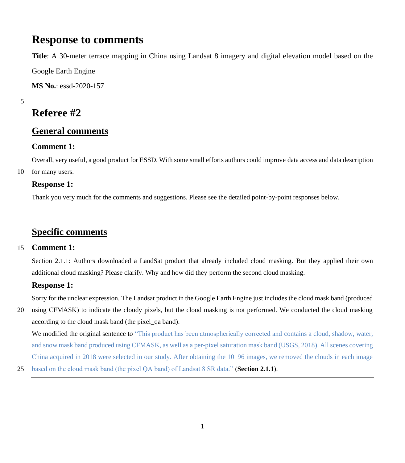# **Response to comments**

**Title**: A 30-meter terrace mapping in China using Landsat 8 imagery and digital elevation model based on the

Google Earth Engine

**MS No.**: essd-2020-157

5

# **Referee #2**

# **General comments**

# **Comment 1:**

Overall, very useful, a good product for ESSD. With some small efforts authors could improve data access and data description

10 for many users.

# **Response 1:**

Thank you very much for the comments and suggestions. Please see the detailed point-by-point responses below.

# **Specific comments**

# 15 **Comment 1:**

Section 2.1.1: Authors downloaded a LandSat product that already included cloud masking. But they applied their own additional cloud masking? Please clarify. Why and how did they perform the second cloud masking.

# **Response 1:**

Sorry for the unclear expression. The Landsat product in the Google Earth Engine just includes the cloud mask band (produced

20 using CFMASK) to indicate the cloudy pixels, but the cloud masking is not performed. We conducted the cloud masking according to the cloud mask band (the pixel\_qa band).

We modified the original sentence to "This product has been atmospherically corrected and contains a cloud, shadow, water, and snow mask band produced using CFMASK, as well as a per-pixel saturation mask band (USGS, 2018). All scenes covering China acquired in 2018 were selected in our study. After obtaining the 10196 images, we removed the clouds in each image

25 based on the cloud mask band (the pixel QA band) of Landsat 8 SR data." (**Section 2.1.1**).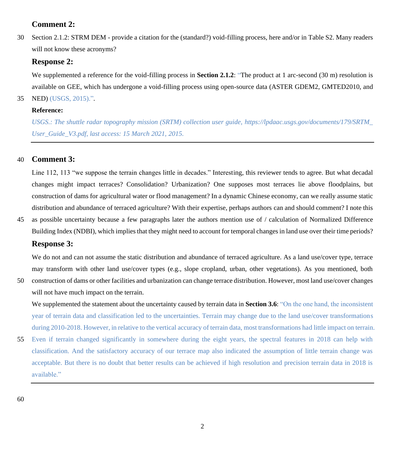# **Comment 2:**

30 Section 2.1.2: STRM DEM - provide a citation for the (standard?) void-filling process, here and/or in Table S2. Many readers will not know these acronyms?

### **Response 2:**

We supplemented a reference for the void-filling process in **Section 2.1.2**: "The product at 1 arc-second (30 m) resolution is available on GEE, which has undergone a void-filling process using open-source data (ASTER GDEM2, GMTED2010, and 35 NED) (USGS, 2015).".

#### **Reference:**

*USGS.: The shuttle radar topography mission (SRTM) collection user guide, https://lpdaac.usgs.gov/documents/179/SRTM\_ User\_Guide\_V3.pdf, last access: 15 March 2021, 2015.*

# 40 **Comment 3:**

Line 112, 113 "we suppose the terrain changes little in decades." Interesting, this reviewer tends to agree. But what decadal changes might impact terraces? Consolidation? Urbanization? One supposes most terraces lie above floodplains, but construction of dams for agricultural water or flood management? In a dynamic Chinese economy, can we really assume static distribution and abundance of terraced agriculture? With their expertise, perhaps authors can and should comment? I note this

45 as possible uncertainty because a few paragraphs later the authors mention use of / calculation of Normalized Difference Building Index (NDBI), which implies that they might need to account for temporal changes in land use over their time periods?

# **Response 3:**

We do not and can not assume the static distribution and abundance of terraced agriculture. As a land use/cover type, terrace may transform with other land use/cover types (e.g., slope cropland, urban, other vegetations). As you mentioned, both

50 construction of dams or other facilities and urbanization can change terrace distribution. However, most land use/cover changes will not have much impact on the terrain.

We supplemented the statement about the uncertainty caused by terrain data in **Section 3.6**: "On the one hand, the inconsistent year of terrain data and classification led to the uncertainties. Terrain may change due to the land use/cover transformations during 2010-2018. However, in relative to the vertical accuracy of terrain data, most transformations had little impact on terrain.

55 Even if terrain changed significantly in somewhere during the eight years, the spectral features in 2018 can help with classification. And the satisfactory accuracy of our terrace map also indicated the assumption of little terrain change was acceptable. But there is no doubt that better results can be achieved if high resolution and precision terrain data in 2018 is available."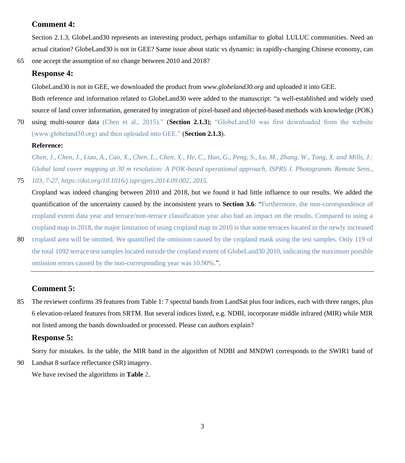# **Comment 4:**

Section 2.1.3, GlobeLand30 represents an interesting product, perhaps unfamiliar to global LULUC communities. Need an actual citation? GlobeLand30 is not in GEE? Same issue about static vs dynamic: in rapidly-changing Chinese economy, can

65 one accept the assumption of no change between 2010 and 2018?

# **Response 4:**

GlobeLand30 is not in GEE, we downloaded the product from *www.globeland30.org* and uploaded it into GEE.

Both reference and information related to GlobeLand30 were added to the manuscript: "a well-established and widely used source of land cover information, generated by integration of pixel-based and objected-based methods with knowledge (POK)

70 using multi-source data (Chen et al., 2015)." (**Section 2.1.3**); "GlobeLand30 was first downloaded from the website (www.globeland30.org) and then uploaded into GEE." (**Section 2.1.3**).

### **Reference:**

*Chen, J., Chen, J., Liao, A., Cao, X., Chen, L., Chen, X., He, C., Han, G., Peng, S., Lu, M., Zhang, W., Tong, X. and Mills, J.: Global land cover mapping at 30 m resolution: A POK-based operational approach, ISPRS J. Photogramm. Remote Sens.,*  75 *103, 7-27, https://doi.org/10.1016/j.isprsjprs.2014.09.002, 2015.*

- Cropland was indeed changing between 2010 and 2018, but we found it had little influence to our results. We added the quantification of the uncertainty caused by the inconsistent years to **Section 3.6**: "Furthermore, the non-correspondence of cropland extent data year and terrace/non-terrace classification year also had an impact on the results. Compared to using a cropland map in 2018, the major limitation of using cropland map in 2010 is that some terraces located in the newly increased
- 80 cropland area will be omitted. We quantified the omission caused by the cropland mask using the test samples. Only 119 of the total 1092 terrace test samples located outside the cropland extent of GlobeLand30 2010, indicating the maximum possible omission errors caused by the non-corresponding year was 10.90%.".

# **Comment 5:**

85 The reviewer confirms 39 features from Table 1: 7 spectral bands from LandSat plus four indices, each with three ranges, plus 6 elevation-related features from SRTM. But several indices listed, e.g. NDBI, incorporate middle infrared (MIR) while MIR not listed among the bands downloaded or processed. Please can authors explain?

## **Response 5:**

Sorry for mistakes. In the table, the MIR band in the algorithm of NDBI and MNDWI corresponds to the SWIR1 band of

90 Landsat 8 surface reflectance (SR) imagery.

We have revised the algorithms in **Table 2**.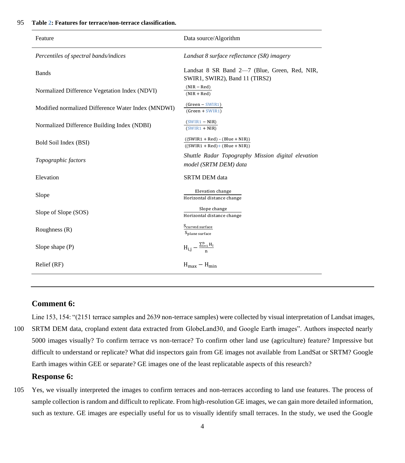| Feature                                            | Data source/Algorithm                                                           |
|----------------------------------------------------|---------------------------------------------------------------------------------|
| Percentiles of spectral bands/indices              | Landsat 8 surface reflectance (SR) imagery                                      |
| <b>Bands</b>                                       | Landsat 8 SR Band 2-7 (Blue, Green, Red, NIR,<br>SWIR1, SWIR2), Band 11 (TIRS2) |
| Normalized Difference Vegetation Index (NDVI)      | $(NIR - Red)$<br>$(NIR + Red)$                                                  |
| Modified normalized Difference Water Index (MNDWI) | $(Green - SWIR1)$<br>$(Green + SWIR1)$                                          |
| Normalized Difference Building Index (NDBI)        | $(SWIR1 - NIR)$<br>$(SWIR1 + NIR)$                                              |
| Bold Soil Index (BSI)                              | $((SWIR1 + Red) - (Blue + NIR))$<br>$((SWIR1 + Red) + (Blue + NIR))$            |
| Topographic factors                                | Shuttle Radar Topography Mission digital elevation<br>model (SRTM DEM) data     |
| Elevation                                          | <b>SRTM DEM</b> data                                                            |
| Slope                                              | <b>Elevation</b> change<br>Horizontal distance change                           |
| Slope of Slope (SOS)                               | Slope change<br>Horizontal distance change                                      |
| Roughness $(R)$                                    | S <sub>curved</sub> surface<br>S <sub>plane</sub> surface                       |
| Slope shape $(P)$                                  | $H_{i,j} - \frac{\sum_{i=1}^{n} H_i}{n}$                                        |
| Relief (RF)                                        | $H_{\text{max}} - H_{\text{min}}$                                               |

# **Comment 6:**

Line 153, 154: "(2151 terrace samples and 2639 non-terrace samples) were collected by visual interpretation of Landsat images,

100 SRTM DEM data, cropland extent data extracted from GlobeLand30, and Google Earth images". Authors inspected nearly 5000 images visually? To confirm terrace vs non-terrace? To confirm other land use (agriculture) feature? Impressive but difficult to understand or replicate? What did inspectors gain from GE images not available from LandSat or SRTM? Google Earth images within GEE or separate? GE images one of the least replicatable aspects of this research?

### **Response 6:**

105 Yes, we visually interpreted the images to confirm terraces and non-terraces according to land use features. The process of sample collection is random and difficult to replicate. From high-resolution GE images, we can gain more detailed information, such as texture. GE images are especially useful for us to visually identify small terraces. In the study, we used the Google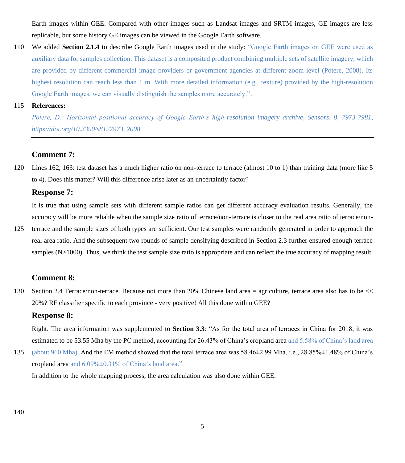Earth images within GEE. Compared with other images such as Landsat images and SRTM images, GE images are less replicable, but some history GE images can be viewed in the Google Earth software.

110 We added **Section 2.1.4** to describe Google Earth images used in the study: "Google Earth images on GEE were used as auxiliary data for samples collection. This dataset is a composited product combining multiple sets of satellite imagery, which are provided by different commercial image providers or government agencies at different zoom level (Potere, 2008). Its highest resolution can reach less than 1 m. With more detailed information (e.g., texture) provided by the high-resolution Google Earth images, we can visually distinguish the samples more accurately.".

#### 115 **References:**

*Potere, D.: Horizontal positional accuracy of Google Earth's high-resolution imagery archive, Sensors, 8, 7973-7981, https://doi.org/10.3390/s8127973, 2008.*

# **Comment 7:**

120 Lines 162, 163: test dataset has a much higher ratio on non-terrace to terrace (almost 10 to 1) than training data (more like 5 to 4). Does this matter? Will this difference arise later as an uncertaintly factor?

## **Response 7:**

It is true that using sample sets with different sample ratios can get different accuracy evaluation results. Generally, the accuracy will be more reliable when the sample size ratio of terrace/non-terrace is closer to the real area ratio of terrace/non-

125 terrace and the sample sizes of both types are sufficient. Our test samples were randomly generated in order to approach the real area ratio. And the subsequent two rounds of sample densifying described in Section 2.3 further ensured enough terrace samples (N>1000). Thus, we think the test sample size ratio is appropriate and can reflect the true accuracy of mapping result.

## **Comment 8:**

130 Section 2.4 Terrace/non-terrace. Because not more than 20% Chinese land area = agriculture, terrace area also has to be << 20%? RF classifier specific to each province - very positive! All this done within GEE?

### **Response 8:**

Right. The area information was supplemented to **Section 3.3**: "As for the total area of terraces in China for 2018, it was estimated to be 53.55 Mha by the PC method, accounting for 26.43% of China's cropland area and 5.58% of China's land area

135 (about 960 Mha). And the EM method showed that the total terrace area was 58.46±2.99 Mha, i.e., 28.85%±1.48% of China's cropland area and 6.09%±0.31% of China's land area.".

In addition to the whole mapping process, the area calculation was also done within GEE.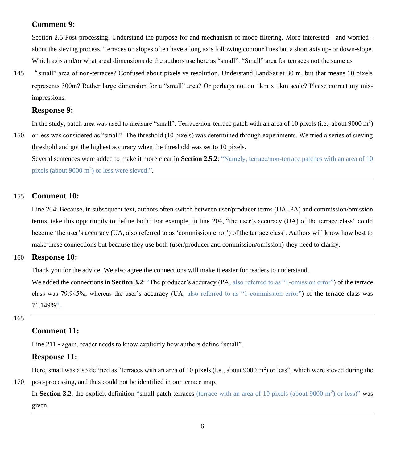# **Comment 9:**

Section 2.5 Post-processing. Understand the purpose for and mechanism of mode filtering. More interested - and worried about the sieving process. Terraces on slopes often have a long axis following contour lines but a short axis up- or down-slope. Which axis and/or what areal dimensions do the authors use here as "small". "Small" area for terraces not the same as

145 "small" area of non-terraces? Confused about pixels vs resolution. Understand LandSat at 30 m, but that means 10 pixels represents 300m? Rather large dimension for a "small" area? Or perhaps not on 1km x 1km scale? Please correct my misimpressions.

#### **Response 9:**

In the study, patch area was used to measure "small". Terrace/non-terrace patch with an area of 10 pixels (i.e., about 9000  $m^2$ )

150 or less was considered as "small". The threshold (10 pixels) was determined through experiments. We tried a series of sieving threshold and got the highest accuracy when the threshold was set to 10 pixels.

Several sentences were added to make it more clear in **Section 2.5.2**: "Namely, terrace/non-terrace patches with an area of 10 pixels (about 9000 m<sup>2</sup>) or less were sieved.".

## 155 **Comment 10:**

Line 204: Because, in subsequent text, authors often switch between user/producer terms (UA, PA) and commission/omission terms, take this opportunity to define both? For example, in line 204, "the user's accuracy (UA) of the terrace class" could become 'the user's accuracy (UA, also referred to as 'commission error') of the terrace class'. Authors will know how best to make these connections but because they use both (user/producer and commission/omission) they need to clarify.

### 160 **Response 10:**

Thank you for the advice. We also agree the connections will make it easier for readers to understand.

We added the connections in **Section 3.2**: "The producer's accuracy (PA, also referred to as "1-omission error") of the terrace class was 79.945%, whereas the user's accuracy (UA, also referred to as "1-commission error") of the terrace class was 71.149%".

165

## **Comment 11:**

Line 211 - again, reader needs to know explicitly how authors define "small".

### **Response 11:**

Here, small was also defined as "terraces with an area of 10 pixels (i.e., about 9000 m<sup>2</sup>) or less", which were sieved during the

170 post-processing, and thus could not be identified in our terrace map.

In **Section 3.2**, the explicit definition "small patch terraces (terrace with an area of 10 pixels (about  $9000 \text{ m}^2$ ) or less)" was given.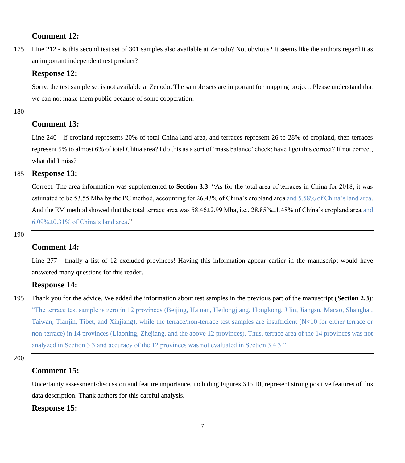### **Comment 12:**

175 Line 212 - is this second test set of 301 samples also available at Zenodo? Not obvious? It seems like the authors regard it as an important independent test product?

#### **Response 12:**

Sorry, the test sample set is not available at Zenodo. The sample sets are important for mapping project. Please understand that we can not make them public because of some cooperation.

180

## **Comment 13:**

Line 240 - if cropland represents 20% of total China land area, and terraces represent 26 to 28% of cropland, then terraces represent 5% to almost 6% of total China area? I do this as a sort of 'mass balance' check; have I got this correct? If not correct, what did I miss?

# 185 **Response 13:**

Correct. The area information was supplemented to **Section 3.3**: "As for the total area of terraces in China for 2018, it was estimated to be 53.55 Mha by the PC method, accounting for 26.43% of China's cropland area and 5.58% of China's land area. And the EM method showed that the total terrace area was  $58.46\pm2.99$  Mha, i.e.,  $28.85\% \pm 1.48\%$  of China's cropland area and 6.09%±0.31% of China's land area."

190

# **Comment 14:**

Line 277 - finally a list of 12 excluded provinces! Having this information appear earlier in the manuscript would have answered many questions for this reader.

### **Response 14:**

195 Thank you for the advice. We added the information about test samples in the previous part of the manuscript (**Section 2.3**): "The terrace test sample is zero in 12 provinces (Beijing, Hainan, Heilongjiang, Hongkong, Jilin, Jiangsu, Macao, Shanghai, Taiwan, Tianjin, Tibet, and Xinjiang), while the terrace/non-terrace test samples are insufficient (N<10 for either terrace or non-terrace) in 14 provinces (Liaoning, Zhejiang, and the above 12 provinces). Thus, terrace area of the 14 provinces was not analyzed in Section 3.3 and accuracy of the 12 provinces was not evaluated in Section 3.4.3.".

200

## **Comment 15:**

Uncertainty assessment/discussion and feature importance, including Figures 6 to 10, represent strong positive features of this data description. Thank authors for this careful analysis.

#### **Response 15:**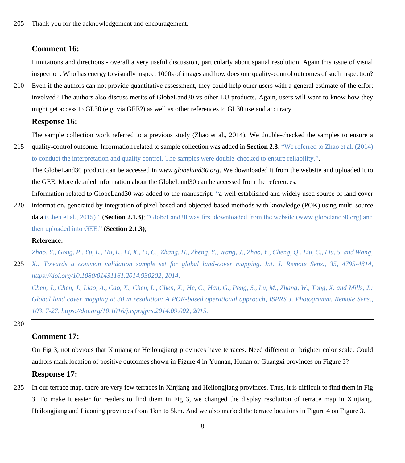#### **Comment 16:**

Limitations and directions - overall a very useful discussion, particularly about spatial resolution. Again this issue of visual inspection. Who has energy to visually inspect 1000s of images and how does one quality-control outcomes of such inspection?

210 Even if the authors can not provide quantitative assessment, they could help other users with a general estimate of the effort involved? The authors also discuss merits of GlobeLand30 vs other LU products. Again, users will want to know how they might get access to GL30 (e.g. via GEE?) as well as other references to GL30 use and accuracy.

#### **Response 16:**

The sample collection work referred to a previous study (Zhao et al., 2014). We double-checked the samples to ensure a

215 quality-control outcome. Information related to sample collection was added in **Section 2.3**: "We referred to Zhao et al. (2014) to conduct the interpretation and quality control. The samples were double-checked to ensure reliability.".

The GlobeLand30 product can be accessed in *www.globeland30.org*. We downloaded it from the website and uploaded it to the GEE. More detailed information about the GlobeLand30 can be accessed from the references.

Information related to GlobeLand30 was added to the manuscript: "a well-established and widely used source of land cover 220 information, generated by integration of pixel-based and objected-based methods with knowledge (POK) using multi-source data (Chen et al., 2015)." (**Section 2.1.3)**; "GlobeLand30 was first downloaded from the website (www.globeland30.org) and then uploaded into GEE." (**Section 2.1.3)**;

#### **Reference:**

*Zhao, Y., Gong, P., Yu, L., Hu, L., Li, X., Li, C., Zhang, H., Zheng, Y., Wang, J., Zhao, Y., Cheng, Q., Liu, C., Liu, S. and Wang,*  225 *X.: Towards a common validation sample set for global land-cover mapping. Int. J. Remote Sens., 35, 4795-4814, https://doi.org/10.1080/01431161.2014.930202, 2014.*

*Chen, J., Chen, J., Liao, A., Cao, X., Chen, L., Chen, X., He, C., Han, G., Peng, S., Lu, M., Zhang, W., Tong, X. and Mills, J.: Global land cover mapping at 30 m resolution: A POK-based operational approach, ISPRS J. Photogramm. Remote Sens., 103, 7-27, https://doi.org/10.1016/j.isprsjprs.2014.09.002, 2015.*

230

# **Comment 17:**

On Fig 3, not obvious that Xinjiang or Heilongjiang provinces have terraces. Need different or brighter color scale. Could authors mark location of positive outcomes shown in Figure 4 in Yunnan, Hunan or Guangxi provinces on Figure 3?

#### **Response 17:**

235 In our terrace map, there are very few terraces in Xinjiang and Heilongjiang provinces. Thus, it is difficult to find them in Fig 3. To make it easier for readers to find them in Fig 3, we changed the display resolution of terrace map in Xinjiang, Heilongjiang and Liaoning provinces from 1km to 5km. And we also marked the terrace locations in Figure 4 on Figure 3.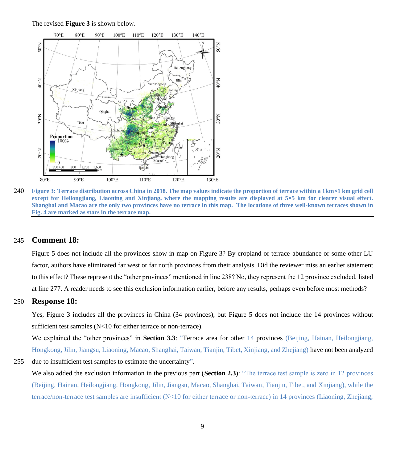The revised **Figure 3** is shown below.



240 **Figure 3: Terrace distribution across China in 2018. The map values indicate the proportion of terrace within a 1km×1 km grid cell except for Heilongjiang, Liaoning and Xinjiang, where the mapping results are displayed at 5×5 km for clearer visual effect. Shanghai and Macao are the only two provinces have no terrace in this map. The locations of three well-known terraces shown in Fig. 4 are marked as stars in the terrace map.**

# 245 **Comment 18:**

Figure 5 does not include all the provinces show in map on Figure 3? By cropland or terrace abundance or some other LU factor, authors have eliminated far west or far north provinces from their analysis. Did the reviewer miss an earlier statement to this effect? These represent the "other provinces" mentioned in line 238? No, they represent the 12 province excluded, listed at line 277. A reader needs to see this exclusion information earlier, before any results, perhaps even before most methods?

# 250 **Response 18:**

Yes, Figure 3 includes all the provinces in China (34 provinces), but Figure 5 does not include the 14 provinces without sufficient test samples (N<10 for either terrace or non-terrace).

We explained the "other provinces" in **Section 3.3**: "Terrace area for other 14 provinces (Beijing, Hainan, Heilongjiang, Hongkong, Jilin, Jiangsu, Liaoning, Macao, Shanghai, Taiwan, Tianjin, Tibet, Xinjiang, and Zhejiang) have not been analyzed

#### 255 due to insufficient test samples to estimate the uncertainty".

We also added the exclusion information in the previous part (**Section 2.3**): "The terrace test sample is zero in 12 provinces (Beijing, Hainan, Heilongjiang, Hongkong, Jilin, Jiangsu, Macao, Shanghai, Taiwan, Tianjin, Tibet, and Xinjiang), while the terrace/non-terrace test samples are insufficient (N<10 for either terrace or non-terrace) in 14 provinces (Liaoning, Zhejiang,